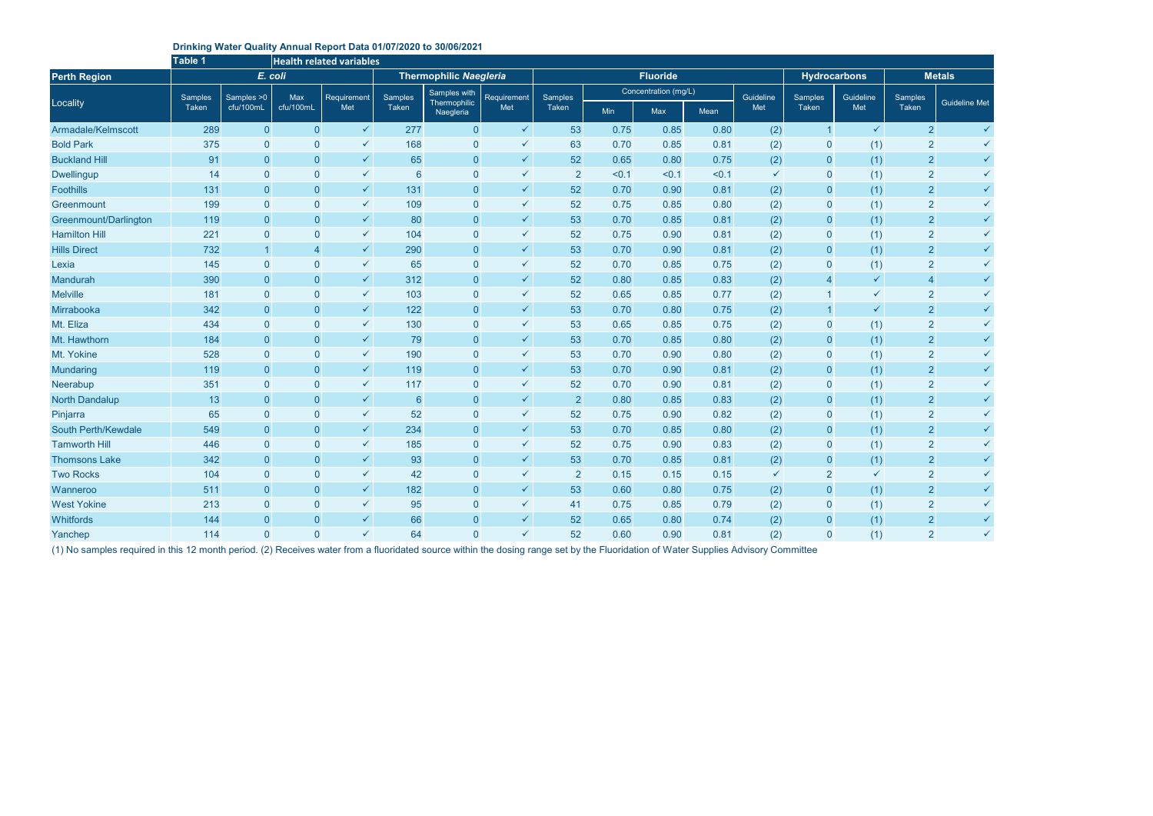## **Drinking Water Quality Annual Report Data 01/07/2020 to 30/06/2021**

|                       | Table 1                 | <b>Health related variables</b> |                |                        |                 |                                           |                    |                         |                      |       |       |              |                     |              |                |                      |
|-----------------------|-------------------------|---------------------------------|----------------|------------------------|-----------------|-------------------------------------------|--------------------|-------------------------|----------------------|-------|-------|--------------|---------------------|--------------|----------------|----------------------|
| <b>Perth Region</b>   | E. coli                 |                                 |                | Thermophilic Naegleria |                 |                                           | <b>Fluoride</b>    |                         |                      |       |       |              | <b>Hydrocarbons</b> |              | <b>Metals</b>  |                      |
| Locality              | Samples<br><b>Taken</b> | Samples > 0                     | <b>Max</b>     | Requirement<br>Met     | Samples         | Samples with<br>Thermophilic<br>Naegleria | Requirement<br>Met | <b>Samples</b><br>Taken | Concentration (mg/L) |       |       | Guideline    | <b>Samples</b>      | Guideline    | Samples        |                      |
|                       |                         | cfu/100mL                       | cfu/100mL      |                        | <b>Taken</b>    |                                           |                    |                         | Min                  | Max   | Mean  | Met          | <b>Taken</b>        | Met          | <b>Taken</b>   | <b>Guideline Met</b> |
| Armadale/Kelmscott    | 289                     | $\overline{0}$                  | $\overline{0}$ | $\checkmark$           | 277             | $\overline{0}$                            | $\checkmark$       | 53                      | 0.75                 | 0.85  | 0.80  | (2)          | $\vert$ 1           | $\checkmark$ | $\overline{2}$ | $\checkmark$         |
| <b>Bold Park</b>      | 375                     | $\overline{0}$                  | $\overline{0}$ | $\checkmark$           | 168             | $\mathbf 0$                               | $\checkmark$       | 63                      | 0.70                 | 0.85  | 0.81  | (2)          | $\overline{0}$      | (1)          | $\overline{2}$ | $\checkmark$         |
| <b>Buckland Hill</b>  | 91                      | $\Omega$                        | $\Omega$       | $\checkmark$           | 65              | $\overline{0}$                            | $\checkmark$       | 52                      | 0.65                 | 0.80  | 0.75  | (2)          | $\overline{0}$      | (1)          | $\overline{2}$ | $\checkmark$         |
| <b>Dwellingup</b>     | 14                      | $\overline{0}$                  | $\overline{0}$ | $\checkmark$           | $6\phantom{1}6$ | $\overline{0}$                            | $\checkmark$       | $\overline{2}$          | < 0.1                | < 0.1 | < 0.1 | $\checkmark$ | $\mathbf 0$         | (1)          | $\overline{2}$ | $\checkmark$         |
| <b>Foothills</b>      | 131                     | $\overline{0}$                  | $\overline{0}$ | $\checkmark$           | 131             | $\mathbf{0}$                              | $\checkmark$       | 52                      | 0.70                 | 0.90  | 0.81  | (2)          | $\mathbf 0$         | (1)          | $\overline{2}$ | $\checkmark$         |
| Greenmount            | 199                     | $\overline{0}$                  | $\overline{0}$ | $\checkmark$           | 109             | $\overline{0}$                            | $\checkmark$       | 52                      | 0.75                 | 0.85  | 0.80  | (2)          | $\mathbf{0}$        | (1)          | $\overline{2}$ | $\checkmark$         |
| Greenmount/Darlington | 119                     | $\Omega$                        | $\overline{0}$ | $\checkmark$           | 80              | $\overline{0}$                            | $\checkmark$       | 53                      | 0.70                 | 0.85  | 0.81  | (2)          | $\overline{0}$      | (1)          | $\overline{2}$ | $\checkmark$         |
| <b>Hamilton Hill</b>  | 221                     | $\Omega$                        | $\mathbf 0$    | $\checkmark$           | 104             | $\mathbf{0}$                              | $\checkmark$       | 52                      | 0.75                 | 0.90  | 0.81  | (2)          | $\Omega$            | (1)          | $\overline{2}$ | $\checkmark$         |
| <b>Hills Direct</b>   | 732                     |                                 | $\overline{4}$ | $\checkmark$           | 290             | $\overline{0}$                            | $\checkmark$       | 53                      | 0.70                 | 0.90  | 0.81  | (2)          | $\overline{0}$      | (1)          | $\overline{2}$ | $\checkmark$         |
| Lexia                 | 145                     | $\overline{0}$                  | $\overline{0}$ | $\checkmark$           | 65              | $\overline{0}$                            | $\checkmark$       | 52                      | 0.70                 | 0.85  | 0.75  | (2)          | $\overline{0}$      | (1)          | $\overline{2}$ | $\checkmark$         |
| <b>Mandurah</b>       | 390                     | $\overline{0}$                  | $\overline{0}$ | $\checkmark$           | 312             | $\mathbf{0}$                              | $\checkmark$       | 52                      | 0.80                 | 0.85  | 0.83  | (2)          | $\overline{4}$      | $\checkmark$ | 4              | $\checkmark$         |
| <b>Melville</b>       | 181                     | $\overline{0}$                  | $\overline{0}$ | $\checkmark$           | 103             | $\bf 0$                                   | $\checkmark$       | 52                      | 0.65                 | 0.85  | 0.77  | (2)          | 1                   | $\checkmark$ | $\overline{2}$ | $\checkmark$         |
| Mirrabooka            | 342                     | $\overline{0}$                  | $\overline{0}$ | $\checkmark$           | 122             | $\overline{0}$                            | $\checkmark$       | 53                      | 0.70                 | 0.80  | 0.75  | (2)          |                     | $\checkmark$ | $\overline{2}$ | $\checkmark$         |
| Mt. Eliza             | 434                     | $\overline{0}$                  | $\overline{0}$ | $\checkmark$           | 130             | $\overline{0}$                            | $\checkmark$       | 53                      | 0.65                 | 0.85  | 0.75  | (2)          | $\Omega$            | (1)          | $\overline{2}$ | $\checkmark$         |
| Mt. Hawthorn          | 184                     | $\Omega$                        | $\overline{0}$ | $\checkmark$           | 79              | $\overline{0}$                            | $\checkmark$       | 53                      | 0.70                 | 0.85  | 0.80  | (2)          | $\overline{0}$      | (1)          | $\overline{2}$ | $\checkmark$         |
| Mt. Yokine            | 528                     | $\boldsymbol{0}$                | $\overline{0}$ | $\checkmark$           | 190             | $\overline{0}$                            | $\checkmark$       | 53                      | 0.70                 | 0.90  | 0.80  | (2)          | $\overline{0}$      | (1)          | $\overline{2}$ | $\checkmark$         |
| <b>Mundaring</b>      | 119                     | $\overline{0}$                  | $\overline{0}$ | $\checkmark$           | 119             | $\overline{0}$                            | $\checkmark$       | 53                      | 0.70                 | 0.90  | 0.81  | (2)          | $\overline{0}$      | (1)          | $\overline{2}$ | $\checkmark$         |
| Neerabup              | 351                     | $\overline{0}$                  | $\overline{0}$ | $\checkmark$           | 117             | $\overline{0}$                            | $\checkmark$       | 52                      | 0.70                 | 0.90  | 0.81  | (2)          | $\overline{0}$      | (1)          | $\overline{2}$ | $\checkmark$         |
| <b>North Dandalup</b> | 13                      | $\Omega$                        | $\overline{0}$ | $\checkmark$           | $6\phantom{1}$  | $\overline{0}$                            | $\checkmark$       | $\overline{2}$          | 0.80                 | 0.85  | 0.83  | (2)          | $\overline{0}$      | (1)          | $\overline{2}$ | $\checkmark$         |
| Pinjarra              | 65                      | $\overline{0}$                  | $\overline{0}$ | $\checkmark$           | 52              | $\overline{0}$                            | $\checkmark$       | 52                      | 0.75                 | 0.90  | 0.82  | (2)          | $\overline{0}$      | (1)          | $\overline{2}$ | $\checkmark$         |
| South Perth/Kewdale   | 549                     | $\overline{0}$                  | $\overline{0}$ | $\checkmark$           | 234             | $\overline{0}$                            | $\checkmark$       | 53                      | 0.70                 | 0.85  | 0.80  | (2)          | $\overline{0}$      | (1)          | $\overline{2}$ | $\checkmark$         |
| <b>Tamworth Hill</b>  | 446                     | $\overline{0}$                  | $\overline{0}$ | $\checkmark$           | 185             | $\overline{0}$                            | $\checkmark$       | 52                      | 0.75                 | 0.90  | 0.83  | (2)          | 0                   | (1)          | $\overline{2}$ | $\checkmark$         |
| <b>Thomsons Lake</b>  | 342                     | $\overline{0}$                  | $\overline{0}$ | $\checkmark$           | 93              | $\overline{0}$                            | $\checkmark$       | 53                      | 0.70                 | 0.85  | 0.81  | (2)          | $\overline{0}$      | (1)          | $\overline{2}$ | $\checkmark$         |
| <b>Two Rocks</b>      | 104                     | $\mathbf{0}$                    | $\overline{0}$ | $\checkmark$           | 42              | $\mathbf{0}$                              | $\checkmark$       | $\overline{2}$          | 0.15                 | 0.15  | 0.15  | $\checkmark$ | $\overline{2}$      | $\checkmark$ | $\overline{2}$ | $\checkmark$         |
| Wanneroo              | 511                     | $\Omega$                        | $\Omega$       | $\checkmark$           | 182             | $\overline{0}$                            | $\checkmark$       | 53                      | 0.60                 | 0.80  | 0.75  | (2)          | $\overline{0}$      | (1)          | $\overline{2}$ | $\checkmark$         |
| <b>West Yokine</b>    | 213                     | $\mathbf 0$                     | $\overline{0}$ | $\checkmark$           | 95              | $\overline{0}$                            | $\checkmark$       | 41                      | 0.75                 | 0.85  | 0.79  | (2)          | $\overline{0}$      | (1)          | $\overline{2}$ | $\checkmark$         |
| <b>Whitfords</b>      | 144                     | $\Omega$                        | $\overline{0}$ | $\checkmark$           | 66              | $\mathbf{0}$                              | $\checkmark$       | 52                      | 0.65                 | 0.80  | 0.74  | (2)          | $\overline{0}$      | (1)          | $\overline{2}$ | $\checkmark$         |
| Yanchep               | 114                     | $\overline{0}$                  | $\overline{0}$ | $\checkmark$           | 64              | $\Omega$                                  | $\checkmark$       | 52                      | 0.60                 | 0.90  | 0.81  | (2)          | $\mathbf{0}$        | (1)          | $\overline{2}$ | $\checkmark$         |

(1) No samples required in this 12 month period. (2) Receives water from a fluoridated source within the dosing range set by the Fluoridation of Water Supplies Advisory Committee